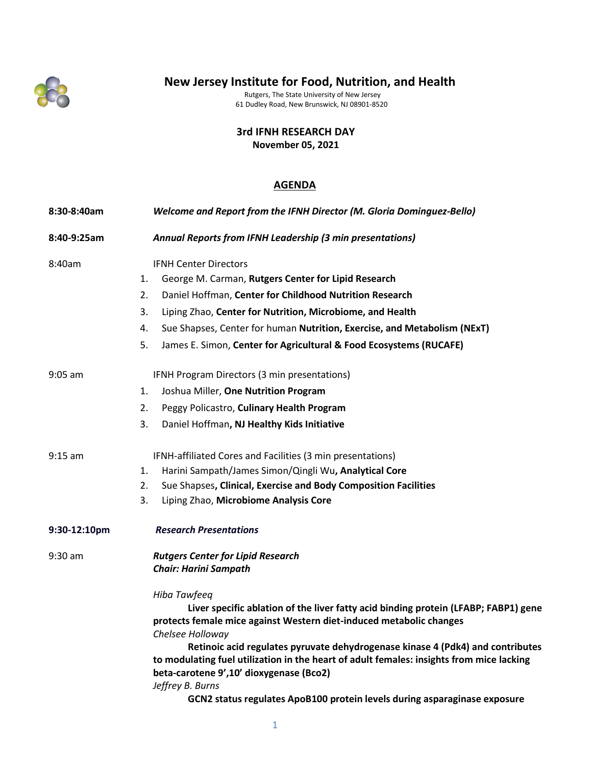

# **New Jersey Institute for Food, Nutrition, and Health**

Rutgers, The State University of New Jersey 61 Dudley Road, New Brunswick, NJ 08901-8520

**3rd IFNH RESEARCH DAY**

**November 05, 2021**

## **AGENDA**

| 8:30-8:40am  | Welcome and Report from the IFNH Director (M. Gloria Dominguez-Bello)                    |
|--------------|------------------------------------------------------------------------------------------|
| 8:40-9:25am  | Annual Reports from IFNH Leadership (3 min presentations)                                |
| 8:40am       | <b>IFNH Center Directors</b>                                                             |
|              | 1.<br>George M. Carman, Rutgers Center for Lipid Research                                |
|              | Daniel Hoffman, Center for Childhood Nutrition Research<br>2.                            |
|              | 3.<br>Liping Zhao, Center for Nutrition, Microbiome, and Health                          |
|              | 4.<br>Sue Shapses, Center for human Nutrition, Exercise, and Metabolism (NExT)           |
|              | 5.<br>James E. Simon, Center for Agricultural & Food Ecosystems (RUCAFE)                 |
| $9:05$ am    | IFNH Program Directors (3 min presentations)                                             |
|              | Joshua Miller, One Nutrition Program<br>1.                                               |
|              | 2.<br>Peggy Policastro, Culinary Health Program                                          |
|              | 3.<br>Daniel Hoffman, NJ Healthy Kids Initiative                                         |
| $9:15$ am    | IFNH-affiliated Cores and Facilities (3 min presentations)                               |
|              | Harini Sampath/James Simon/Qingli Wu, Analytical Core<br>1.                              |
|              | Sue Shapses, Clinical, Exercise and Body Composition Facilities<br>2.                    |
|              | 3.<br>Liping Zhao, Microbiome Analysis Core                                              |
| 9:30-12:10pm | <b>Research Presentations</b>                                                            |
| $9:30$ am    | <b>Rutgers Center for Lipid Research</b>                                                 |
|              | <b>Chair: Harini Sampath</b>                                                             |
|              | Hiba Tawfeeq                                                                             |
|              | Liver specific ablation of the liver fatty acid binding protein (LFABP; FABP1) gene      |
|              | protects female mice against Western diet-induced metabolic changes<br>Chelsee Holloway  |
|              | Retinoic acid regulates pyruvate dehydrogenase kinase 4 (Pdk4) and contributes           |
|              | to modulating fuel utilization in the heart of adult females: insights from mice lacking |
|              | beta-carotene 9',10' dioxygenase (Bco2)                                                  |
|              | Jeffrey B. Burns                                                                         |
|              | GCN2 status regulates ApoB100 protein levels during asparaginase exposure                |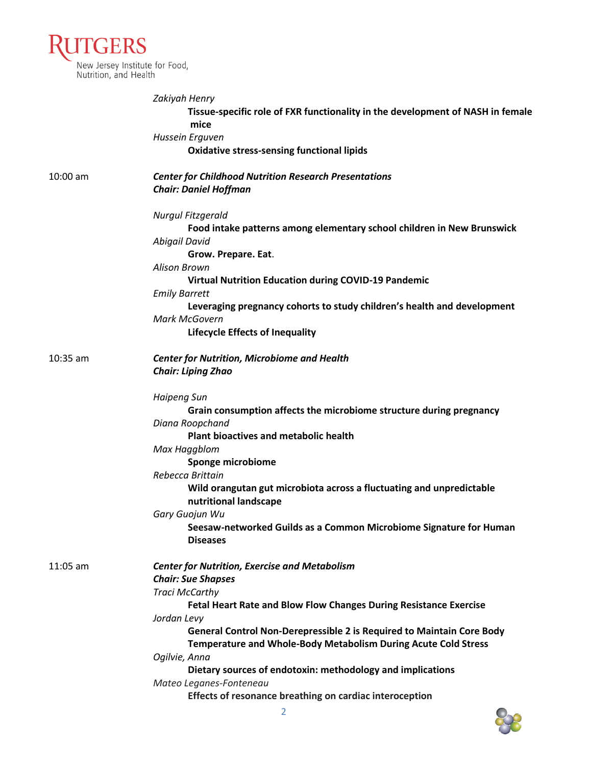| <b>RUTGERS</b>                                          |
|---------------------------------------------------------|
| New Jersey Institute for Food,<br>Nutrition, and Health |

|            | Zakiyah Henry                                                                                 |
|------------|-----------------------------------------------------------------------------------------------|
|            | Tissue-specific role of FXR functionality in the development of NASH in female                |
|            | mice                                                                                          |
|            | Hussein Erguven                                                                               |
|            | <b>Oxidative stress-sensing functional lipids</b>                                             |
| $10:00$ am | <b>Center for Childhood Nutrition Research Presentations</b>                                  |
|            | <b>Chair: Daniel Hoffman</b>                                                                  |
|            | Nurgul Fitzgerald                                                                             |
|            | Food intake patterns among elementary school children in New Brunswick<br>Abigail David       |
|            | Grow. Prepare. Eat.                                                                           |
|            | <b>Alison Brown</b>                                                                           |
|            | <b>Virtual Nutrition Education during COVID-19 Pandemic</b>                                   |
|            | <b>Emily Barrett</b>                                                                          |
|            | Leveraging pregnancy cohorts to study children's health and development                       |
|            | Mark McGovern                                                                                 |
|            | <b>Lifecycle Effects of Inequality</b>                                                        |
| $10:35$ am | <b>Center for Nutrition, Microbiome and Health</b>                                            |
|            | <b>Chair: Liping Zhao</b>                                                                     |
|            | <b>Haipeng Sun</b>                                                                            |
|            | Grain consumption affects the microbiome structure during pregnancy                           |
|            | Diana Roopchand                                                                               |
|            | <b>Plant bioactives and metabolic health</b>                                                  |
|            | Max Haggblom                                                                                  |
|            | Sponge microbiome                                                                             |
|            | Rebecca Brittain                                                                              |
|            | Wild orangutan gut microbiota across a fluctuating and unpredictable<br>nutritional landscape |
|            | Gary Guojun Wu                                                                                |
|            | Seesaw-networked Guilds as a Common Microbiome Signature for Human<br><b>Diseases</b>         |
| $11:05$ am | <b>Center for Nutrition, Exercise and Metabolism</b>                                          |
|            | <b>Chair: Sue Shapses</b>                                                                     |
|            | <b>Traci McCarthy</b>                                                                         |
|            | Fetal Heart Rate and Blow Flow Changes During Resistance Exercise                             |
|            | Jordan Levy                                                                                   |
|            | General Control Non-Derepressible 2 is Required to Maintain Core Body                         |
|            | Temperature and Whole-Body Metabolism During Acute Cold Stress                                |
|            | Ogilvie, Anna                                                                                 |
|            | Dietary sources of endotoxin: methodology and implications                                    |
|            | Mateo Leganes-Fonteneau                                                                       |
|            | Effects of resonance breathing on cardiac interoception                                       |

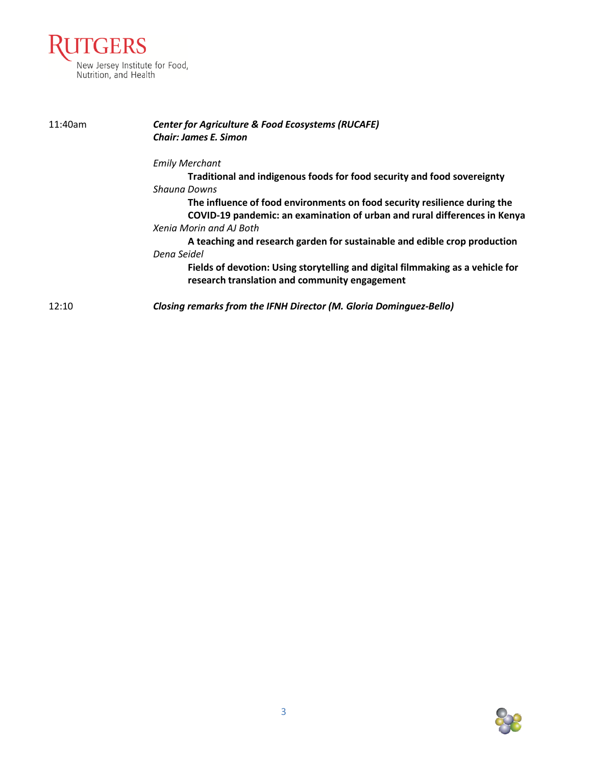

| 11:40am | <b>Center for Agriculture &amp; Food Ecosystems (RUCAFE)</b><br><b>Chair: James E. Simon</b>                                    |
|---------|---------------------------------------------------------------------------------------------------------------------------------|
|         | <b>Emily Merchant</b>                                                                                                           |
|         | Traditional and indigenous foods for food security and food sovereignty                                                         |
|         | Shauna Downs                                                                                                                    |
|         | The influence of food environments on food security resilience during the                                                       |
|         | COVID-19 pandemic: an examination of urban and rural differences in Kenya                                                       |
|         | Xenia Morin and AJ Both                                                                                                         |
|         | A teaching and research garden for sustainable and edible crop production                                                       |
|         | Dena Seidel                                                                                                                     |
|         | Fields of devotion: Using storytelling and digital filmmaking as a vehicle for<br>research translation and community engagement |
| 12:10   | <b>Closing remarks from the IFNH Director (M. Gloria Dominguez-Bello)</b>                                                       |

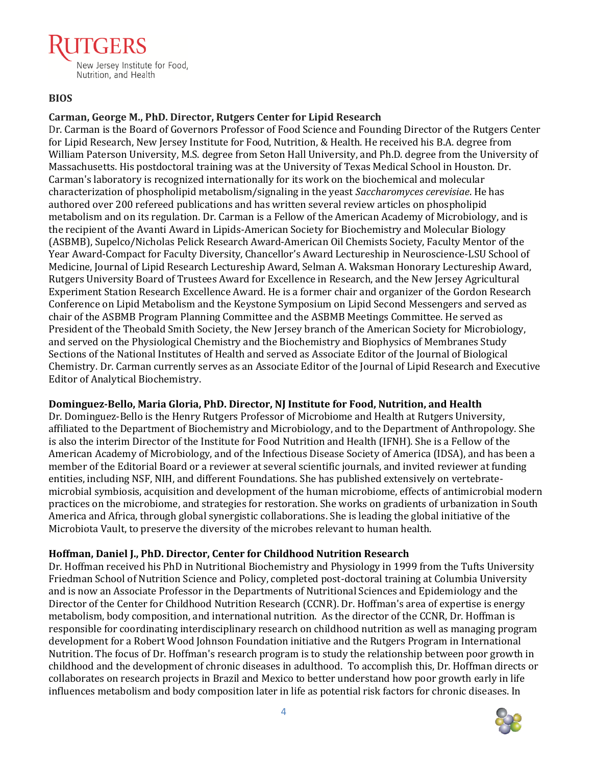# New Jersey Institute for Food, Nutrition, and Health

### **BIOS**

# **Carman, George M., PhD. Director, Rutgers Center for Lipid Research**

Dr. Carman is the Board of Governors Professor of Food Science and Founding Director of the Rutgers Center for Lipid Research, New Jersey Institute for Food, Nutrition, & Health. He received his B.A. degree from William Paterson University, M.S. degree from Seton Hall University, and Ph.D. degree from the University of Massachusetts. His postdoctoral training was at the University of Texas Medical School in Houston. Dr. Carman's laboratory is recognized internationally for its work on the biochemical and molecular characterization of phospholipid metabolism/signaling in the yeast *Saccharomyces cerevisiae*. He has authored over 200 refereed publications and has written several review articles on phospholipid metabolism and on its regulation. Dr. Carman is a Fellow of the American Academy of Microbiology, and is the recipient of the Avanti Award in Lipids-American Society for Biochemistry and Molecular Biology (ASBMB), Supelco/Nicholas Pelick Research Award-American Oil Chemists Society, Faculty Mentor of the Year Award-Compact for Faculty Diversity, Chancellor's Award Lectureship in Neuroscience-LSU School of Medicine, Journal of Lipid Research Lectureship Award, Selman A. Waksman Honorary Lectureship Award, Rutgers University Board of Trustees Award for Excellence in Research, and the New Jersey Agricultural Experiment Station Research Excellence Award. He is a former chair and organizer of the Gordon Research Conference on Lipid Metabolism and the Keystone Symposium on Lipid Second Messengers and served as chair of the ASBMB Program Planning Committee and the ASBMB Meetings Committee. He served as President of the Theobald Smith Society, the New Jersey branch of the American Society for Microbiology, and served on the Physiological Chemistry and the Biochemistry and Biophysics of Membranes Study Sections of the National Institutes of Health and served as Associate Editor of the Journal of Biological Chemistry. Dr. Carman currently serves as an Associate Editor of the Journal of Lipid Research and Executive Editor of Analytical Biochemistry.

#### **Dominguez-Bello, Maria Gloria, PhD. Director, NJ Institute for Food, Nutrition, and Health**

Dr. Dominguez-Bello is the Henry Rutgers Professor of Microbiome and Health at Rutgers University, affiliated to the Department of Biochemistry and Microbiology, and to the Department of Anthropology. She is also the interim Director of the Institute for Food Nutrition and Health (IFNH). She is a Fellow of the American Academy of Microbiology, and of the Infectious Disease Society of America (IDSA), and has been a member of the Editorial Board or a reviewer at several scientific journals, and invited reviewer at funding entities, including NSF, NIH, and different Foundations. She has published extensively on vertebratemicrobial symbiosis, acquisition and development of the human microbiome, effects of antimicrobial modern practices on the microbiome, and strategies for restoration. She works on gradients of urbanization in South America and Africa, through global synergistic collaborations. She is leading the global initiative of the Microbiota Vault, to preserve the diversity of the microbes relevant to human health.

#### **Hoffman, Daniel J., PhD. Director, Center for Childhood Nutrition Research**

Dr. Hoffman received his PhD in Nutritional Biochemistry and Physiology in 1999 from the Tufts University Friedman School of Nutrition Science and Policy, completed post-doctoral training at Columbia University and is now an Associate Professor in the Departments of Nutritional Sciences and Epidemiology and the Director of the Center for Childhood Nutrition Research (CCNR). Dr. Hoffman's area of expertise is energy metabolism, body composition, and international nutrition. As the director of the CCNR, Dr. Hoffman is responsible for coordinating interdisciplinary research on childhood nutrition as well as managing program development for a Robert Wood Johnson Foundation initiative and the Rutgers Program in International Nutrition. The focus of Dr. Hoffman's research program is to study the relationship between poor growth in childhood and the development of chronic diseases in adulthood. To accomplish this, Dr. Hoffman directs or collaborates on research projects in Brazil and Mexico to better understand how poor growth early in life influences metabolism and body composition later in life as potential risk factors for chronic diseases. In

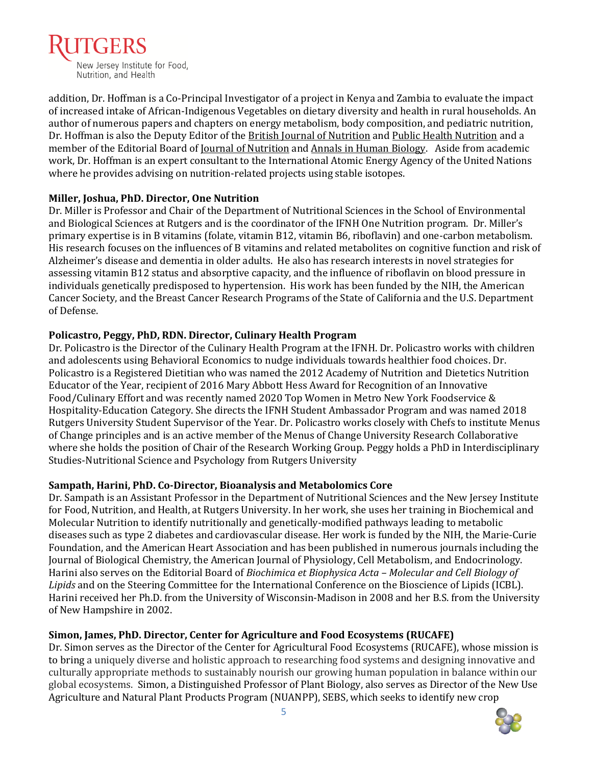

addition, Dr. Hoffman is a Co-Principal Investigator of a project in Kenya and Zambia to evaluate the impact of increased intake of African-Indigenous Vegetables on dietary diversity and health in rural households. An author of numerous papers and chapters on energy metabolism, body composition, and pediatric nutrition, Dr. Hoffman is also the Deputy Editor of the British Journal of Nutrition and Public Health Nutrition and a member of the Editorial Board of <u>Journal of Nutrition</u> and Annals in Human Biology. Aside from academic work, Dr. Hoffman is an expert consultant to the International Atomic Energy Agency of the United Nations where he provides advising on nutrition-related projects using stable isotopes.

#### **Miller, Joshua, PhD. Director, One Nutrition**

Dr. Miller is Professor and Chair of the Department of Nutritional Sciences in the School of Environmental and Biological Sciences at Rutgers and is the coordinator of the IFNH One Nutrition program. Dr. Miller's primary expertise is in B vitamins (folate, vitamin B12, vitamin B6, riboflavin) and one-carbon metabolism. His research focuses on the influences of B vitamins and related metabolites on cognitive function and risk of Alzheimer's disease and dementia in older adults. He also has research interests in novel strategies for assessing vitamin B12 status and absorptive capacity, and the influence of riboflavin on blood pressure in individuals genetically predisposed to hypertension. His work has been funded by the NIH, the American Cancer Society, and the Breast Cancer Research Programs of the State of California and the U.S. Department of Defense.

#### **Policastro, Peggy, PhD, RDN. Director, Culinary Health Program**

Dr. Policastro is the Director of the Culinary Health Program at the IFNH. Dr. Policastro works with children and adolescents using Behavioral Economics to nudge individuals towards healthier food choices. Dr. Policastro is a Registered Dietitian who was named the 2012 Academy of Nutrition and Dietetics Nutrition Educator of the Year, recipient of 2016 Mary Abbott Hess Award for Recognition of an Innovative Food/Culinary Effort and was recently named 2020 Top Women in Metro New York Foodservice & Hospitality-Education Category. She directs the IFNH Student Ambassador Program and was named 2018 Rutgers University Student Supervisor of the Year. Dr. Policastro works closely with Chefs to institute Menus of Change principles and is an active member of the Menus of Change University Research Collaborative where she holds the position of Chair of the Research Working Group. Peggy holds a PhD in Interdisciplinary Studies-Nutritional Science and Psychology from Rutgers University

#### **Sampath, Harini, PhD. Co-Director, Bioanalysis and Metabolomics Core**

Dr. Sampath is an Assistant Professor in the Department of Nutritional Sciences and the New Jersey Institute for Food, Nutrition, and Health, at Rutgers University. In her work, she uses her training in Biochemical and Molecular Nutrition to identify nutritionally and genetically-modified pathways leading to metabolic diseases such as type 2 diabetes and cardiovascular disease. Her work is funded by the NIH, the Marie-Curie Foundation, and the American Heart Association and has been published in numerous journals including the Journal of Biological Chemistry, the American Journal of Physiology, Cell Metabolism, and Endocrinology. Harini also serves on the Editorial Board of *Biochimica et Biophysica Acta – Molecular and Cell Biology of Lipids* and on the Steering Committee for the International Conference on the Bioscience of Lipids (ICBL). Harini received her Ph.D. from the University of Wisconsin-Madison in 2008 and her B.S. from the University of New Hampshire in 2002.

#### **Simon, James, PhD. Director, Center for Agriculture and Food Ecosystems (RUCAFE)**

Dr. Simon serves as the Director of the Center for Agricultural Food Ecosystems (RUCAFE), whose mission is to bring a uniquely diverse and holistic approach to researching food systems and designing innovative and culturally appropriate methods to sustainably nourish our growing human population in balance within our global ecosystems. Simon, a Distinguished Professor of Plant Biology, also serves as Director of the New Use Agriculture and Natural Plant Products Program (NUANPP), SEBS, which seeks to identify new crop

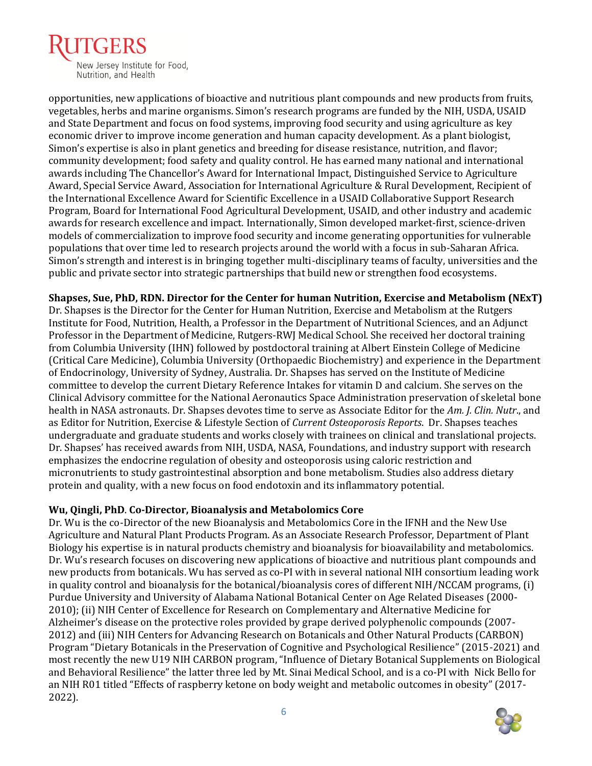

opportunities, new applications of bioactive and nutritious plant compounds and new products from fruits, vegetables, herbs and marine organisms. Simon's research programs are funded by the NIH, USDA, USAID and State Department and focus on food systems, improving food security and using agriculture as key economic driver to improve income generation and human capacity development. As a plant biologist, Simon's expertise is also in plant genetics and breeding for disease resistance, nutrition, and flavor; community development; food safety and quality control. He has earned many national and international awards including The Chancellor's Award for International Impact, Distinguished Service to Agriculture Award, Special Service Award, Association for International Agriculture & Rural Development, Recipient of the International Excellence Award for Scientific Excellence in a USAID Collaborative Support Research Program, Board for International Food Agricultural Development, USAID, and other industry and academic awards for research excellence and impact. Internationally, Simon developed market-first, science-driven models of commercialization to improve food security and income generating opportunities for vulnerable populations that over time led to research projects around the world with a focus in sub-Saharan Africa. Simon's strength and interest is in bringing together multi-disciplinary teams of faculty, universities and the public and private sector into strategic partnerships that build new or strengthen food ecosystems.

**Shapses, Sue, PhD, RDN. Director for the Center for human Nutrition, Exercise and Metabolism (NExT)** Dr. Shapses is the Director for the Center for Human Nutrition, Exercise and Metabolism at the Rutgers

Institute for Food, Nutrition, Health, a Professor in the Department of Nutritional Sciences, and an Adjunct Professor in the Department of Medicine, Rutgers-RWJ Medical School. She received her doctoral training from Columbia University (IHN) followed by postdoctoral training at Albert Einstein College of Medicine (Critical Care Medicine), Columbia University (Orthopaedic Biochemistry) and experience in the Department of Endocrinology, University of Sydney, Australia. Dr. Shapses has served on the Institute of Medicine committee to develop the current Dietary Reference Intakes for vitamin D and calcium. She serves on the Clinical Advisory committee for the National Aeronautics Space Administration preservation of skeletal bone health in NASA astronauts. Dr. Shapses devotes time to serve as Associate Editor for the *Am. J. Clin. Nutr*., and as Editor for Nutrition, Exercise & Lifestyle Section of *Current Osteoporosis Reports*. Dr. Shapses teaches undergraduate and graduate students and works closely with trainees on clinical and translational projects. Dr. Shapses' has received awards from NIH, USDA, NASA, Foundations, and industry support with research emphasizes the endocrine regulation of obesity and osteoporosis using caloric restriction and micronutrients to study gastrointestinal absorption and bone metabolism. Studies also address dietary protein and quality, with a new focus on food endotoxin and its inflammatory potential.

#### **Wu, Qingli, PhD**. **Co-Director, Bioanalysis and Metabolomics Core**

Dr. Wu is the co-Director of the new Bioanalysis and Metabolomics Core in the IFNH and the New Use Agriculture and Natural Plant Products Program. As an Associate Research Professor, Department of Plant Biology his expertise is in natural products chemistry and bioanalysis for bioavailability and metabolomics. Dr. Wu's research focuses on discovering new applications of bioactive and nutritious plant compounds and new products from botanicals. Wu has served as co-PI with in several national NIH consortium leading work in quality control and bioanalysis for the botanical/bioanalysis cores of different NIH/NCCAM programs, (i) Purdue University and University of Alabama National Botanical Center on Age Related Diseases (2000- 2010); (ii) NIH Center of Excellence for Research on Complementary and Alternative Medicine for Alzheimer's disease on the protective roles provided by grape derived polyphenolic compounds (2007- 2012) and (iii) NIH Centers for Advancing Research on Botanicals and Other Natural Products (CARBON) Program "Dietary Botanicals in the Preservation of Cognitive and Psychological Resilience" (2015-2021) and most recently the new U19 NIH CARBON program, "Influence of Dietary Botanical Supplements on Biological and Behavioral Resilience" the latter three led by Mt. Sinai Medical School, and is a co-PI with Nick Bello for an NIH R01 titled "Effects of raspberry ketone on body weight and metabolic outcomes in obesity" (2017- 2022).